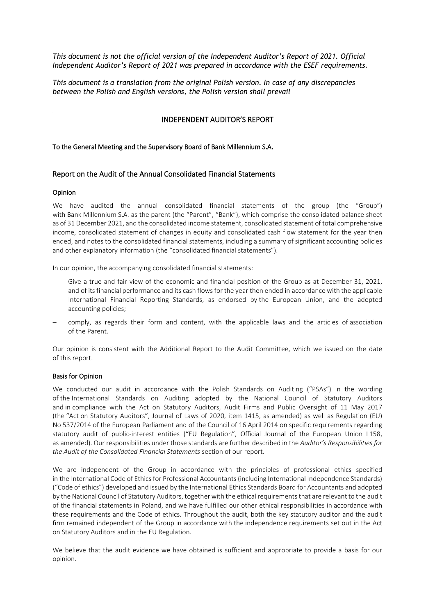*This document is not the official version of the Independent Auditor's Report of 2021. Official Independent Auditor's Report of 2021 was prepared in accordance with the ESEF requirements.* 

*This document is a translation from the original Polish version. In case of any discrepancies between the Polish and English versions, the Polish version shall prevail*

# INDEPENDENT AUDITOR'S REPORT

### To the General Meeting and the Supervisory Board of Bank Millennium S.A.

# Report on the Audit of the Annual Consolidated Financial Statements

### Opinion

We have audited the annual consolidated financial statements of the group (the "Group") with Bank Millennium S.A. as the parent (the "Parent", "Bank"), which comprise the consolidated balance sheet as of 31 December 2021, and the consolidated income statement, consolidated statement of total comprehensive income, consolidated statement of changes in equity and consolidated cash flow statement for the year then ended, and notes to the consolidated financial statements, including a summary of significant accounting policies and other explanatory information (the "consolidated financial statements").

In our opinion, the accompanying consolidated financial statements:

- Give a true and fair view of the economic and financial position of the Group as at December 31, 2021, and of its financial performance and its cash flows for the year then ended in accordance with the applicable International Financial Reporting Standards, as endorsed by the European Union, and the adopted accounting policies;
- comply, as regards their form and content, with the applicable laws and the articles of association of the Parent.

Our opinion is consistent with the Additional Report to the Audit Committee, which we issued on the date of this report.

### Basis for Opinion

We conducted our audit in accordance with the Polish Standards on Auditing ("PSAs") in the wording of the International Standards on Auditing adopted by the National Council of Statutory Auditors and in compliance with the Act on Statutory Auditors, Audit Firms and Public Oversight of 11 May 2017 (the "Act on Statutory Auditors", Journal of Laws of 2020, item 1415, as amended) as well as Regulation (EU) No 537/2014 of the European Parliament and of the Council of 16 April 2014 on specific requirements regarding statutory audit of public-interest entities ("EU Regulation", Official Journal of the European Union L158, as amended). Our responsibilities under those standards are further described in the *Auditor's Responsibilities for the Audit of the Consolidated Financial Statements* section of our report.

We are independent of the Group in accordance with the principles of professional ethics specified in the International Code of Ethics for Professional Accountants (including International Independence Standards) ("Code of ethics") developed and issued by the International Ethics Standards Board for Accountants and adopted by the National Council of Statutory Auditors, together with the ethical requirementsthat are relevant to the audit of the financial statements in Poland, and we have fulfilled our other ethical responsibilities in accordance with these requirements and the Code of ethics. Throughout the audit, both the key statutory auditor and the audit firm remained independent of the Group in accordance with the independence requirements set out in the Act on Statutory Auditors and in the EU Regulation.

We believe that the audit evidence we have obtained is sufficient and appropriate to provide a basis for our opinion.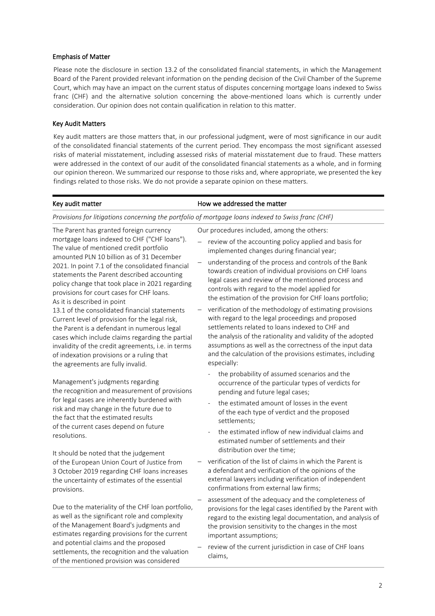# Emphasis of Matter

Please note the disclosure in section 13.2 of the consolidated financial statements, in which the Management Board of the Parent provided relevant information on the pending decision of the Civil Chamber of the Supreme Court, which may have an impact on the current status of disputes concerning mortgage loans indexed to Swiss franc (CHF) and the alternative solution concerning the above-mentioned loans which is currently under consideration. Our opinion does not contain qualification in relation to this matter.

# Key Audit Matters

Key audit matters are those matters that, in our professional judgment, were of most significance in our audit of the consolidated financial statements of the current period. They encompass the most significant assessed risks of material misstatement, including assessed risks of material misstatement due to fraud. These matters were addressed in the context of our audit of the consolidated financial statements as a whole, and in forming our opinion thereon. We summarized our response to those risks and, where appropriate, we presented the key findings related to those risks. We do not provide a separate opinion on these matters.

# Key audit matter **How we addressed the matter**

*Provisions for litigations concerning the portfolio of mortgage loans indexed to Swiss franc (CHF)*

The Parent has granted foreign currency mortgage loans indexed to CHF ("CHF loans"). The value of mentioned credit portfolio amounted PLN 10 billion as of 31 December 2021. In point 7.1 of the consolidated financial statements the Parent described accounting policy change that took place in 2021 regarding provisions for court cases for CHF loans. As it is described in point

13.1 of the consolidated financial statements Current level of provision for the legal risk, the Parent is a defendant in numerous legal cases which include claims regarding the partial invalidity of the credit agreements, i.e. in terms of indexation provisions or a ruling that the agreements are fully invalid.

Management's judgments regarding the recognition and measurement of provisions for legal cases are inherently burdened with risk and may change in the future due to the fact that the estimated results of the current cases depend on future resolutions.

It should be noted that the judgement of the European Union Court of Justice from 3 October 2019 regarding CHF loans increases the uncertainty of estimates of the essential provisions.

Due to the materiality of the CHF loan portfolio, as well as the significant role and complexity of the Management Board's judgments and estimates regarding provisions for the current and potential claims and the proposed settlements, the recognition and the valuation of the mentioned provision was considered

Our procedures included, among the others:

- − review of the accounting policy applied and basis for implemented changes during financial year;
- understanding of the process and controls of the Bank towards creation of individual provisions on CHF loans legal cases and review of the mentioned process and controls with regard to the model applied for the estimation of the provision for CHF loans portfolio;
- − verification of the methodology of estimating provisions with regard to the legal proceedings and proposed settlements related to loans indexed to CHF and the analysis of the rationality and validity of the adopted assumptions as well as the correctness of the input data and the calculation of the provisions estimates, including especially:
	- the probability of assumed scenarios and the occurrence of the particular types of verdicts for pending and future legal cases;
	- the estimated amount of losses in the event of the each type of verdict and the proposed settlements;
	- the estimated inflow of new individual claims and estimated number of settlements and their distribution over the time;
- − verification of the list of claims in which the Parent is a defendant and verification of the opinions of the external lawyers including verification of independent confirmations from external law firms;
- assessment of the adequacy and the completeness of provisions for the legal cases identified by the Parent with regard to the existing legal documentation, and analysis of the provision sensitivity to the changes in the most important assumptions;
- review of the current jurisdiction in case of CHF loans claims,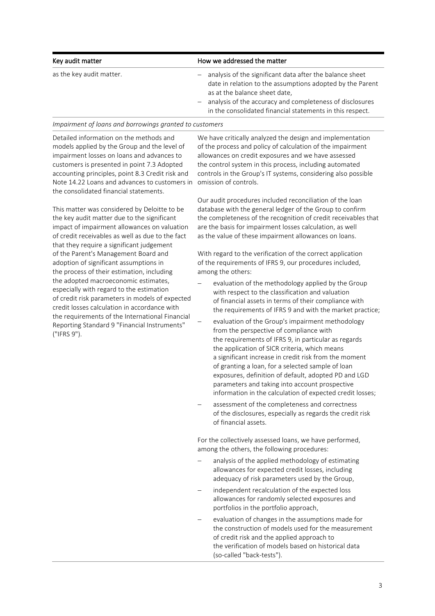| Key audit matter         | How we addressed the matter                                                                                                                                                                                              |
|--------------------------|--------------------------------------------------------------------------------------------------------------------------------------------------------------------------------------------------------------------------|
| as the key audit matter. | $-$ analysis of the significant data after the balance sheet<br>date in relation to the assumptions adopted by the Parent<br>as at the balance sheet date,<br>- analysis of the accuracy and completeness of disclosures |
|                          | in the consolidated financial statements in this respect.                                                                                                                                                                |

### *Impairment of loans and borrowings granted to customers*

Detailed information on the methods and models applied by the Group and the level of impairment losses on loans and advances to customers is presented in point 7.3 Adopted accounting principles, point 8.3 Credit risk and Note 14.22 Loans and advances to customers in omission of controls. the consolidated financial statements.

This matter was considered by Deloitte to be the key audit matter due to the significant impact of impairment allowances on valuation of credit receivables as well as due to the fact that they require a significant judgement of the Parent's Management Board and adoption of significant assumptions in the process of their estimation, including the adopted macroeconomic estimates, especially with regard to the estimation of credit risk parameters in models of expected credit losses calculation in accordance with the requirements of the International Financial Reporting Standard 9 "Financial Instruments" ("IFRS 9").

We have critically analyzed the design and implementation of the process and policy of calculation of the impairment allowances on credit exposures and we have assessed the control system in this process, including automated controls in the Group's IT systems, considering also possible

Our audit procedures included reconciliation of the loan database with the general ledger of the Group to confirm the completeness of the recognition of credit receivables that are the basis for impairment losses calculation, as well as the value of these impairment allowances on loans.

With regard to the verification of the correct application of the requirements of IFRS 9, our procedures included, among the others:

- evaluation of the methodology applied by the Group with respect to the classification and valuation of financial assets in terms of their compliance with the requirements of IFRS 9 and with the market practice;
- evaluation of the Group's impairment methodology from the perspective of compliance with the requirements of IFRS 9, in particular as regards the application of SICR criteria, which means a significant increase in credit risk from the moment of granting a loan, for a selected sample of loan exposures, definition of default, adopted PD and LGD parameters and taking into account prospective information in the calculation of expected credit losses;
- assessment of the completeness and correctness of the disclosures, especially as regards the credit risk of financial assets.

For the collectively assessed loans, we have performed, among the others, the following procedures:

- analysis of the applied methodology of estimating allowances for expected credit losses, including adequacy of risk parameters used by the Group,
- independent recalculation of the expected loss allowances for randomly selected exposures and portfolios in the portfolio approach,
- evaluation of changes in the assumptions made for the construction of models used for the measurement of credit risk and the applied approach to the verification of models based on historical data (so-called "back-tests").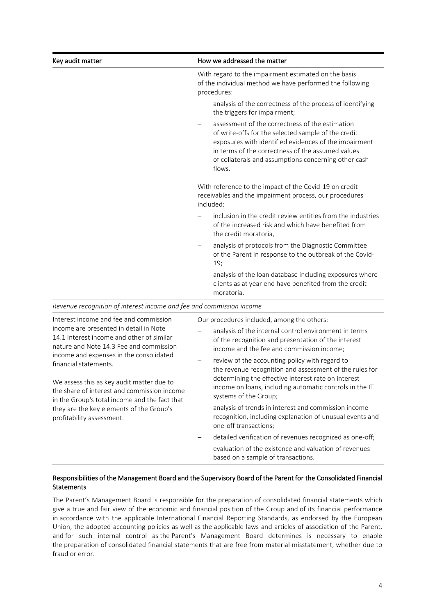| Key audit matter                                                                                                                                                                                                    | How we addressed the matter                                                                                                                                                                                                                                                            |
|---------------------------------------------------------------------------------------------------------------------------------------------------------------------------------------------------------------------|----------------------------------------------------------------------------------------------------------------------------------------------------------------------------------------------------------------------------------------------------------------------------------------|
|                                                                                                                                                                                                                     | With regard to the impairment estimated on the basis<br>of the individual method we have performed the following<br>procedures:                                                                                                                                                        |
|                                                                                                                                                                                                                     | analysis of the correctness of the process of identifying<br>the triggers for impairment;                                                                                                                                                                                              |
|                                                                                                                                                                                                                     | assessment of the correctness of the estimation<br>of write-offs for the selected sample of the credit<br>exposures with identified evidences of the impairment<br>in terms of the correctness of the assumed values<br>of collaterals and assumptions concerning other cash<br>flows. |
|                                                                                                                                                                                                                     | With reference to the impact of the Covid-19 on credit<br>receivables and the impairment process, our procedures<br>included:                                                                                                                                                          |
|                                                                                                                                                                                                                     | inclusion in the credit review entities from the industries<br>of the increased risk and which have benefited from<br>the credit moratoria,                                                                                                                                            |
|                                                                                                                                                                                                                     | analysis of protocols from the Diagnostic Committee<br>of the Parent in response to the outbreak of the Covid-<br>19;                                                                                                                                                                  |
|                                                                                                                                                                                                                     | analysis of the loan database including exposures where<br>clients as at year end have benefited from the credit<br>moratoria.                                                                                                                                                         |
| Revenue recognition of interest income and fee and commission income                                                                                                                                                |                                                                                                                                                                                                                                                                                        |
| Interest income and fee and commission<br>income are presented in detail in Note<br>14.1 Interest income and other of similar<br>nature and Note 14.3 Fee and commission<br>income and expenses in the consolidated | Our procedures included, among the others:<br>analysis of the internal control environment in terms<br>of the recognition and presentation of the interest<br>income and the fee and commission income;                                                                                |

the share of interest and commission income in the Group's total income and the fact that review of the accounting policy with regard to the revenue recognition and assessment of the rules for determining the effective interest rate on interest income on loans, including automatic controls in the IT systems of the Group;

- analysis of trends in interest and commission income recognition, including explanation of unusual events and one-off transactions;
- − detailed verification of revenues recognized as one-off; evaluation of the existence and valuation of revenues based on a sample of transactions.

# Responsibilities of the Management Board and the Supervisory Board of the Parent for the Consolidated Financial **Statements**

financial statements.

profitability assessment.

We assess this as key audit matter due to

they are the key elements of the Group's

The Parent's Management Board is responsible for the preparation of consolidated financial statements which give a true and fair view of the economic and financial position of the Group and of its financial performance in accordance with the applicable International Financial Reporting Standards, as endorsed by the European Union, the adopted accounting policies as well as the applicable laws and articles of association of the Parent, and for such internal control as the Parent's Management Board determines is necessary to enable the preparation of consolidated financial statements that are free from material misstatement, whether due to fraud or error.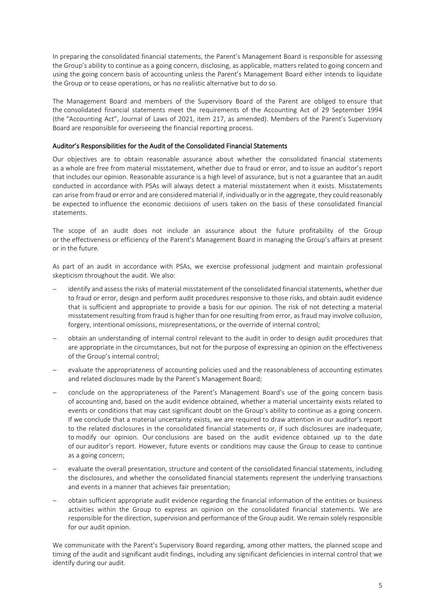In preparing the consolidated financial statements, the Parent's Management Board is responsible for assessing the Group's ability to continue as a going concern, disclosing, as applicable, matters related to going concern and using the going concern basis of accounting unless the Parent's Management Board either intends to liquidate the Group or to cease operations, or has no realistic alternative but to do so.

The Management Board and members of the Supervisory Board of the Parent are obliged to ensure that the consolidated financial statements meet the requirements of the Accounting Act of 29 September 1994 (the "Accounting Act", Journal of Laws of 2021, item 217, as amended). Members of the Parent's Supervisory Board are responsible for overseeing the financial reporting process.

# Auditor's Responsibilities for the Audit of the Consolidated Financial Statements

Our objectives are to obtain reasonable assurance about whether the consolidated financial statements as a whole are free from material misstatement, whether due to fraud or error, and to issue an auditor's report that includes our opinion. Reasonable assurance is a high level of assurance, but is not a guarantee that an audit conducted in accordance with PSAs will always detect a material misstatement when it exists. Misstatements can arise from fraud or error and are considered material if, individually or in the aggregate, they could reasonably be expected to influence the economic decisions of users taken on the basis of these consolidated financial statements.

The scope of an audit does not include an assurance about the future profitability of the Group or the effectiveness or efficiency of the Parent's Management Board in managing the Group's affairs at present or in the future.

As part of an audit in accordance with PSAs, we exercise professional judgment and maintain professional skepticism throughout the audit. We also:

- − identify and assess the risks of material misstatement of the consolidated financial statements, whether due to fraud or error, design and perform audit procedures responsive to those risks, and obtain audit evidence that is sufficient and appropriate to provide a basis for our opinion. The risk of not detecting a material misstatement resulting from fraud is higher than for one resulting from error, asfraud may involve collusion, forgery, intentional omissions, misrepresentations, or the override of internal control;
- − obtain an understanding of internal control relevant to the audit in order to design audit procedures that are appropriate in the circumstances, but not for the purpose of expressing an opinion on the effectiveness of the Group's internal control;
- evaluate the appropriateness of accounting policies used and the reasonableness of accounting estimates and related disclosures made by the Parent's Management Board;
- conclude on the appropriateness of the Parent's Management Board's use of the going concern basis of accounting and, based on the audit evidence obtained, whether a material uncertainty exists related to events or conditions that may cast significant doubt on the Group's ability to continue as a going concern. If we conclude that a material uncertainty exists, we are required to draw attention in our auditor's report to the related disclosures in the consolidated financial statements or, if such disclosures are inadequate, to modify our opinion. Our conclusions are based on the audit evidence obtained up to the date of our auditor's report. However, future events or conditions may cause the Group to cease to continue as a going concern;
- evaluate the overall presentation, structure and content of the consolidated financial statements, including the disclosures, and whether the consolidated financial statements represent the underlying transactions and events in a manner that achieves fair presentation;
- − obtain sufficient appropriate audit evidence regarding the financial information of the entities or business activities within the Group to express an opinion on the consolidated financial statements. We are responsible for the direction, supervision and performance of the Group audit. We remain solely responsible for our audit opinion.

We communicate with the Parent's Supervisory Board regarding, among other matters, the planned scope and timing of the audit and significant audit findings, including any significant deficiencies in internal control that we identify during our audit.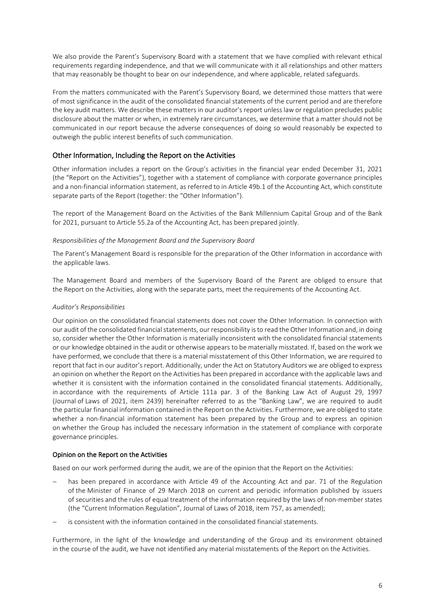We also provide the Parent's Supervisory Board with a statement that we have complied with relevant ethical requirements regarding independence, and that we will communicate with it all relationships and other matters that may reasonably be thought to bear on our independence, and where applicable, related safeguards.

From the matters communicated with the Parent's Supervisory Board, we determined those matters that were of most significance in the audit of the consolidated financial statements of the current period and are therefore the key audit matters. We describe these matters in our auditor's report unless law or regulation precludes public disclosure about the matter or when, in extremely rare circumstances, we determine that a matter should not be communicated in our report because the adverse consequences of doing so would reasonably be expected to outweigh the public interest benefits of such communication.

# Other Information, Including the Report on the Activities

Other information includes a report on the Group's activities in the financial year ended December 31, 2021 (the "Report on the Activities"), together with a statement of compliance with corporate governance principles and a non-financial information statement, as referred to in Article 49b.1 of the Accounting Act, which constitute separate parts of the Report (together: the "Other Information").

The report of the Management Board on the Activities of the Bank Millennium Capital Group and of the Bank for 2021, pursuant to Article 55.2a of the Accounting Act, has been prepared jointly.

# *Responsibilities of the Management Board and the Supervisory Board*

The Parent's Management Board is responsible for the preparation of the Other Information in accordance with the applicable laws.

The Management Board and members of the Supervisory Board of the Parent are obliged to ensure that the Report on the Activities, along with the separate parts, meet the requirements of the Accounting Act.

# *Auditor's Responsibilities*

Our opinion on the consolidated financial statements does not cover the Other Information. In connection with our audit of the consolidated financial statements, our responsibility is to read the Other Information and, in doing so, consider whether the Other Information is materially inconsistent with the consolidated financial statements or our knowledge obtained in the audit or otherwise appears to be materially misstated. If, based on the work we have performed, we conclude that there is a material misstatement of this Other Information, we are required to report that fact in our auditor's report. Additionally, under the Act on Statutory Auditors we are obliged to express an opinion on whether the Report on the Activities has been prepared in accordance with the applicable laws and whether it is consistent with the information contained in the consolidated financial statements. Additionally, in accordance with the requirements of Article 111a par. 3 of the Banking Law Act of August 29, 1997 (Journal of Laws of 2021, item 2439) hereinafter referred to as the "Banking Law", we are required to audit the particular financial information contained in the Report on the Activities. Furthermore, we are obliged to state whether a non-financial information statement has been prepared by the Group and to express an opinion on whether the Group has included the necessary information in the statement of compliance with corporate governance principles.

# Opinion on the Report on the Activities

Based on our work performed during the audit, we are of the opinion that the Report on the Activities:

- has been prepared in accordance with Article 49 of the Accounting Act and par. 71 of the Regulation of the Minister of Finance of 29 March 2018 on current and periodic information published by issuers of securities and the rules of equal treatment of the information required by the laws of non-member states (the "Current Information Regulation", Journal of Laws of 2018, item 757, as amended);
- − is consistent with the information contained in the consolidated financial statements.

Furthermore, in the light of the knowledge and understanding of the Group and its environment obtained in the course of the audit, we have not identified any material misstatements of the Report on the Activities.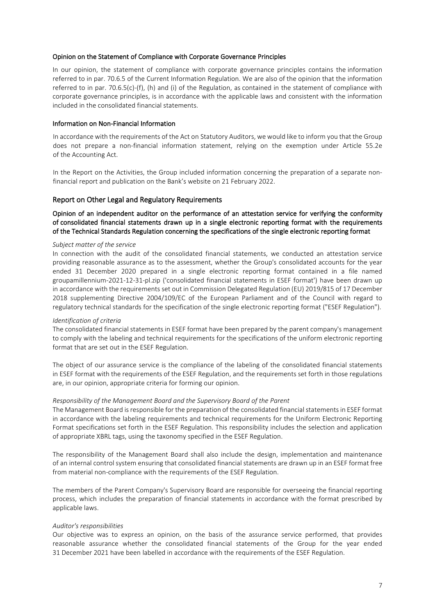### Opinion on the Statement of Compliance with Corporate Governance Principles

In our opinion, the statement of compliance with corporate governance principles contains the information referred to in par. 70.6.5 of the Current Information Regulation. We are also of the opinion that the information referred to in par. 70.6.5(c)-(f), (h) and (i) of the Regulation, as contained in the statement of compliance with corporate governance principles, is in accordance with the applicable laws and consistent with the information included in the consolidated financial statements.

### Information on Non-Financial Information

In accordance with the requirements of the Act on Statutory Auditors, we would like to inform you that the Group does not prepare a non-financial information statement, relying on the exemption under Article 55.2e of the Accounting Act.

In the Report on the Activities, the Group included information concerning the preparation of a separate nonfinancial report and publication on the Bank's website on 21 February 2022.

## Report on Other Legal and Regulatory Requirements

# Opinion of an independent auditor on the performance of an attestation service for verifying the conformity of consolidated financial statements drawn up in a single electronic reporting format with the requirements of the Technical Standards Regulation concerning the specifications of the single electronic reporting format

#### *Subject matter of the service*

In connection with the audit of the consolidated financial statements, we conducted an attestation service providing reasonable assurance as to the assessment, whether the Group's consolidated accounts for the year ended 31 December 2020 prepared in a single electronic reporting format contained in a file named groupamillennium-2021-12-31-pl.zip ('consolidated financial statements in ESEF format') have been drawn up in accordance with the requirements set out in Commission Delegated Regulation (EU) 2019/815 of 17 December 2018 supplementing Directive 2004/109/EC of the European Parliament and of the Council with regard to regulatory technical standards for the specification of the single electronic reporting format ("ESEF Regulation").

### *Identification of criteria*

The consolidated financial statements in ESEF format have been prepared by the parent company's management to comply with the labeling and technical requirements for the specifications of the uniform electronic reporting format that are set out in the ESEF Regulation.

The object of our assurance service is the compliance of the labeling of the consolidated financial statements in ESEF format with the requirements of the ESEF Regulation, and the requirements set forth in those regulations are, in our opinion, appropriate criteria for forming our opinion.

### *Responsibility of the Management Board and the Supervisory Board of the Parent*

The Management Board is responsible for the preparation of the consolidated financial statements in ESEF format in accordance with the labeling requirements and technical requirements for the Uniform Electronic Reporting Format specifications set forth in the ESEF Regulation. This responsibility includes the selection and application of appropriate XBRL tags, using the taxonomy specified in the ESEF Regulation.

The responsibility of the Management Board shall also include the design, implementation and maintenance of an internal control system ensuring that consolidated financial statements are drawn up in an ESEF format free from material non-compliance with the requirements of the ESEF Regulation.

The members of the Parent Company's Supervisory Board are responsible for overseeing the financial reporting process, which includes the preparation of financial statements in accordance with the format prescribed by applicable laws.

### *Auditor's responsibilities*

Our objective was to express an opinion, on the basis of the assurance service performed, that provides reasonable assurance whether the consolidated financial statements of the Group for the year ended 31 December 2021 have been labelled in accordance with the requirements of the ESEF Regulation.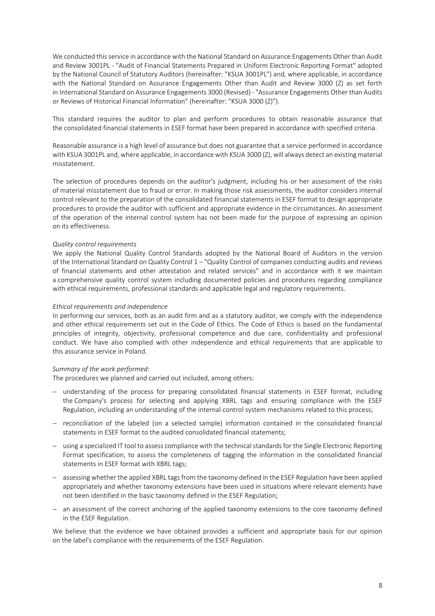We conducted thisservice in accordance with the National Standard on Assurance Engagements Other than Audit and Review 3001PL - "Audit of Financial Statements Prepared in Uniform Electronic Reporting Format" adopted by the National Council of Statutory Auditors (hereinafter: "KSUA 3001PL") and, where applicable, in accordance with the National Standard on Assurance Engagements Other than Audit and Review 3000 (Z) as set forth in International Standard on Assurance Engagements 3000 (Revised) -"Assurance Engagements Other than Audits or Reviews of Historical Financial Information" (hereinafter: "KSUA 3000 (Z)").

This standard requires the auditor to plan and perform procedures to obtain reasonable assurance that the consolidated financial statements in ESEF format have been prepared in accordance with specified criteria.

Reasonable assurance is a high level of assurance but does not guarantee that a service performed in accordance with KSUA 3001PL and, where applicable, in accordance with KSUA 3000 (Z), will always detect an existing material misstatement.

The selection of procedures depends on the auditor's judgment, including his or her assessment of the risks of material misstatement due to fraud or error. In making those risk assessments, the auditor considers internal control relevant to the preparation of the consolidated financial statements in ESEF format to design appropriate procedures to provide the auditor with sufficient and appropriate evidence in the circumstances. An assessment of the operation of the internal control system has not been made for the purpose of expressing an opinion on its effectiveness.

## *Quality control requirements*

We apply the National Quality Control Standards adopted by the National Board of Auditors in the version of the International Standard on Quality Control 1 – "Quality Control of companies conducting audits and reviews of financial statements and other attestation and related services" and in accordance with it we maintain a comprehensive quality control system including documented policies and procedures regarding compliance with ethical requirements, professional standards and applicable legal and regulatory requirements.

## *Ethical requirements and independence*

In performing our services, both as an audit firm and as a statutory auditor, we comply with the independence and other ethical requirements set out in the Code of Ethics. The Code of Ethics is based on the fundamental principles of integrity, objectivity, professional competence and due care, confidentiality and professional conduct. We have also complied with other independence and ethical requirements that are applicable to this assurance service in Poland.

## *Summary of the work performed:*

The procedures we planned and carried out included, among others:

- understanding of the process for preparing consolidated financial statements in ESEF format, including the Company's process for selecting and applying XBRL tags and ensuring compliance with the ESEF Regulation, including an understanding of the internal control system mechanisms related to this process;
- − reconciliation of the labeled (on a selected sample) information contained in the consolidated financial statements in ESEF format to the audited consolidated financial statements;
- − using a specialized IT tool to assess compliance with the technicalstandardsfor the Single Electronic Reporting Format specification, to assess the completeness of tagging the information in the consolidated financial statements in ESEF format with XBRL tags;
- − assessing whether the applied XBRL tags from the taxonomy defined in the ESEF Regulation have been applied appropriately and whether taxonomy extensions have been used in situations where relevant elements have not been identified in the basic taxonomy defined in the ESEF Regulation;
- − an assessment of the correct anchoring of the applied taxonomy extensions to the core taxonomy defined in the ESEF Regulation.

We believe that the evidence we have obtained provides a sufficient and appropriate basis for our opinion on the label's compliance with the requirements of the ESEF Regulation.